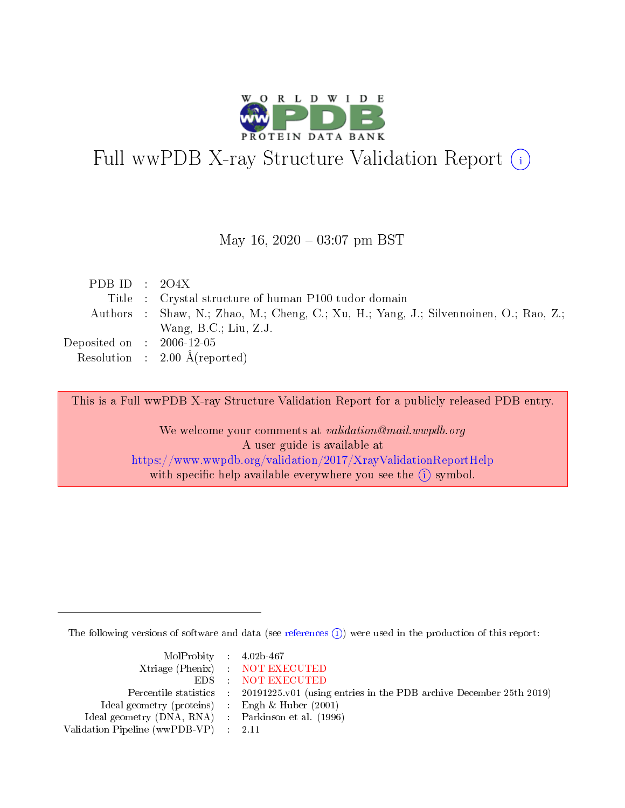

# Full wwPDB X-ray Structure Validation Report (i)

#### May 16,  $2020 - 03:07$  pm BST

| PDB ID : $204X$             |                                                                                       |
|-----------------------------|---------------------------------------------------------------------------------------|
|                             | Title : Crystal structure of human P100 tudor domain                                  |
|                             | Authors : Shaw, N.; Zhao, M.; Cheng, C.; Xu, H.; Yang, J.; Silvennoinen, O.; Rao, Z.; |
|                             | Wang, $B.C.; Liu, Z.J.$                                                               |
| Deposited on : $2006-12-05$ |                                                                                       |
|                             | Resolution : $2.00 \text{ Å}$ (reported)                                              |

This is a Full wwPDB X-ray Structure Validation Report for a publicly released PDB entry.

We welcome your comments at validation@mail.wwpdb.org A user guide is available at <https://www.wwpdb.org/validation/2017/XrayValidationReportHelp> with specific help available everywhere you see the  $(i)$  symbol.

The following versions of software and data (see [references](https://www.wwpdb.org/validation/2017/XrayValidationReportHelp#references)  $\overline{(1)}$ ) were used in the production of this report:

| $MolProbability$ 4.02b-467                          |                                                                    |
|-----------------------------------------------------|--------------------------------------------------------------------|
|                                                     | Xtriage (Phenix) NOT EXECUTED                                      |
|                                                     | EDS : NOT EXECUTED                                                 |
| Percentile statistics :                             | 20191225.v01 (using entries in the PDB archive December 25th 2019) |
| Ideal geometry (proteins) :                         | Engh $\&$ Huber (2001)                                             |
| Ideal geometry (DNA, RNA) : Parkinson et al. (1996) |                                                                    |
| Validation Pipeline (wwPDB-VP) : 2.11               |                                                                    |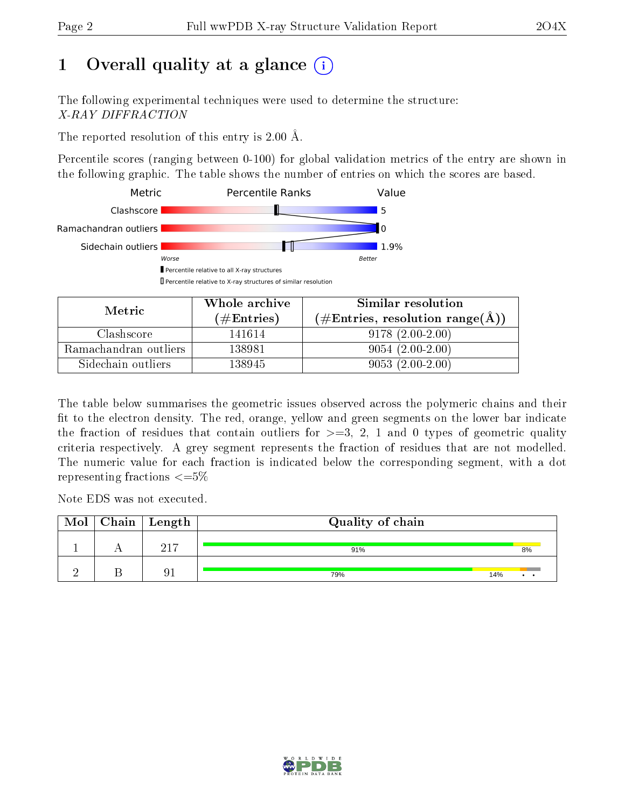## 1 [O](https://www.wwpdb.org/validation/2017/XrayValidationReportHelp#overall_quality)verall quality at a glance  $(i)$

The following experimental techniques were used to determine the structure: X-RAY DIFFRACTION

The reported resolution of this entry is 2.00 Å.

Percentile scores (ranging between 0-100) for global validation metrics of the entry are shown in the following graphic. The table shows the number of entries on which the scores are based.



| Metric                | Whole archive       | Similar resolution                                       |  |  |
|-----------------------|---------------------|----------------------------------------------------------|--|--|
|                       | (# $\rm{Entries}$ ) | $(\#\text{Entries}, \text{resolution range}(\text{\AA})$ |  |  |
| Clashscore            | 141614              | $9178(2.00-2.00)$                                        |  |  |
| Ramachandran outliers | 138981              | $9054(2.00-2.00)$                                        |  |  |
| Sidechain outliers    | 138945              | $9053(2.00-2.00)$                                        |  |  |

The table below summarises the geometric issues observed across the polymeric chains and their fit to the electron density. The red, orange, yellow and green segments on the lower bar indicate the fraction of residues that contain outliers for  $\geq=3$ , 2, 1 and 0 types of geometric quality criteria respectively. A grey segment represents the fraction of residues that are not modelled. The numeric value for each fraction is indicated below the corresponding segment, with a dot representing fractions  $\leq=5\%$ 

Note EDS was not executed.

| Mol | $\mid$ Chain $\mid$ Length | Quality of chain |     |    |
|-----|----------------------------|------------------|-----|----|
|     | 917                        | 91%              |     | 8% |
|     |                            | 79%              | 14% |    |

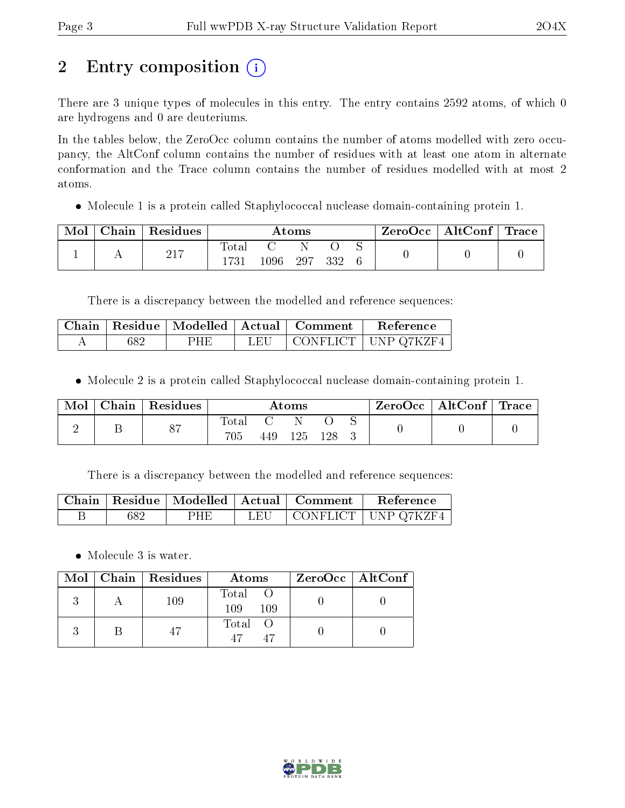## 2 Entry composition (i)

There are 3 unique types of molecules in this entry. The entry contains 2592 atoms, of which 0 are hydrogens and 0 are deuteriums.

In the tables below, the ZeroOcc column contains the number of atoms modelled with zero occupancy, the AltConf column contains the number of residues with at least one atom in alternate conformation and the Trace column contains the number of residues modelled with at most 2 atoms.

Molecule 1 is a protein called Staphylococcal nuclease domain-containing protein 1.

| Mol | ${\rm Chain}$ | Residues   | $\rm{Atoms}$   |     |     |     |  | ZeroOcc | AltConf | $^+$ Trace |
|-----|---------------|------------|----------------|-----|-----|-----|--|---------|---------|------------|
|     |               | 017<br>411 | $_{\rm Total}$ | 096 | 297 | 332 |  |         |         |            |

There is a discrepancy between the modelled and reference sequences:

|     |     |      | $\mid$ Chain $\mid$ Residue $\mid$ Modelled $\mid$ Actual $\mid$ Comment $\mid$ | Reference             |
|-----|-----|------|---------------------------------------------------------------------------------|-----------------------|
| 682 | PHE | LEU- |                                                                                 | CONFLICT   UNP Q7KZF4 |

Molecule 2 is a protein called Staphylococcal nuclease domain-containing protein 1.

| Mol | Chain | Residues       | $\rm{Atoms}$ |     |     |  |  | $\rm ZeroOcc$   AltConf   Trace |  |
|-----|-------|----------------|--------------|-----|-----|--|--|---------------------------------|--|
|     |       | O <sub>7</sub> | Iota<br>705  | 449 | 125 |  |  |                                 |  |

There is a discrepancy between the modelled and reference sequences:

|     |     |     | Chain   Residue   Modelled   Actual   Comment | Reference             |
|-----|-----|-----|-----------------------------------------------|-----------------------|
| 682 | PHE | LEU |                                               | CONFLICT   UNP Q7KZF4 |

Molecule 3 is water.

|  | Mol   Chain   Residues<br>Atoms |                     | $ZeroOcc \   \ AltConf$ |  |
|--|---------------------------------|---------------------|-------------------------|--|
|  | 109                             | Total<br>109<br>109 |                         |  |
|  | 47                              | Total O<br>47<br>47 |                         |  |

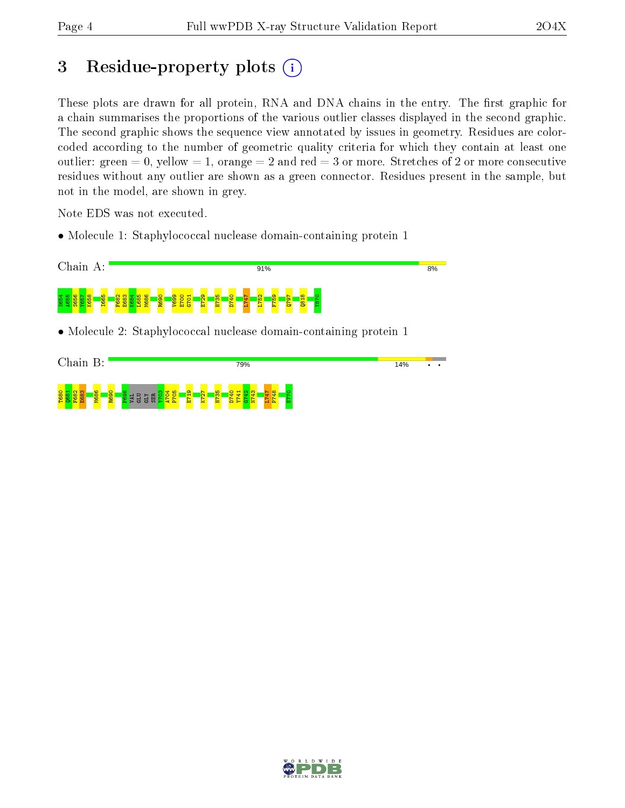## 3 Residue-property plots  $(i)$

These plots are drawn for all protein, RNA and DNA chains in the entry. The first graphic for a chain summarises the proportions of the various outlier classes displayed in the second graphic. The second graphic shows the sequence view annotated by issues in geometry. Residues are colorcoded according to the number of geometric quality criteria for which they contain at least one outlier: green  $= 0$ , yellow  $= 1$ , orange  $= 2$  and red  $= 3$  or more. Stretches of 2 or more consecutive residues without any outlier are shown as a green connector. Residues present in the sample, but not in the model, are shown in grey.

Note EDS was not executed.

• Molecule 1: Staphylococcal nuclease domain-containing protein 1



• Molecule 2: Staphylococcal nuclease domain-containing protein 1

| Chain<br>B:<br>79%                                                                                                                               |  |  |
|--------------------------------------------------------------------------------------------------------------------------------------------------|--|--|
| T680<br>$\overline{\phantom{0}}$<br>5<br>$\frac{8}{2}$<br>8<br>n.<br>$\frac{1}{2}$<br>ო<br>$\sim$<br>m<br>c.<br>Œ<br>Ξ<br>m<br>ш<br>д,<br>-<br>− |  |  |

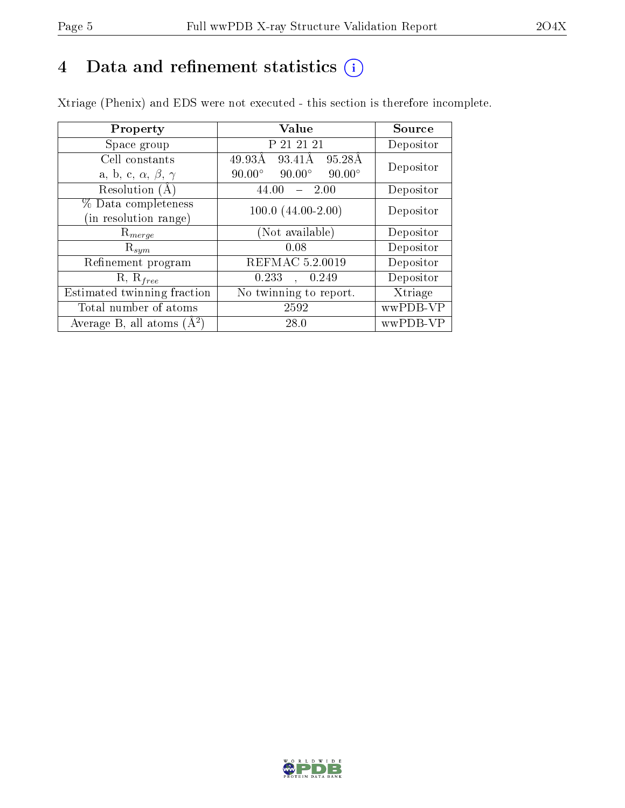## 4 Data and refinement statistics  $(i)$

Xtriage (Phenix) and EDS were not executed - this section is therefore incomplete.

| Property                               | <b>Value</b>                                    | Source    |  |
|----------------------------------------|-------------------------------------------------|-----------|--|
| Space group                            | P 21 21 21                                      | Depositor |  |
| Cell constants                         | 49.93Å<br>95.28Å<br>93.41Å                      | Depositor |  |
| a, b, c, $\alpha$ , $\beta$ , $\gamma$ | $90.00^\circ$<br>$90.00^\circ$<br>$90.00^\circ$ |           |  |
| Resolution $(A)$                       | 44.00<br>2.00                                   | Depositor |  |
| % Data completeness                    | $100.0 (44.00 - 2.00)$                          | Depositor |  |
| (in resolution range)                  |                                                 |           |  |
| $\mathrm{R}_{merge}$                   | (Not available)                                 | Depositor |  |
| $\mathrm{R}_{sym}$                     | 0.08                                            | Depositor |  |
| Refinement program                     | REFMAC 5.2.0019                                 | Depositor |  |
| $R, R_{free}$                          | 0.233<br>, 0.249                                | Depositor |  |
| Estimated twinning fraction            | No twinning to report.                          | Xtriage   |  |
| Total number of atoms                  | 2592                                            | wwPDB-VP  |  |
| Average B, all atoms $(A^2)$           | 28.0                                            | wwPDB-VP  |  |

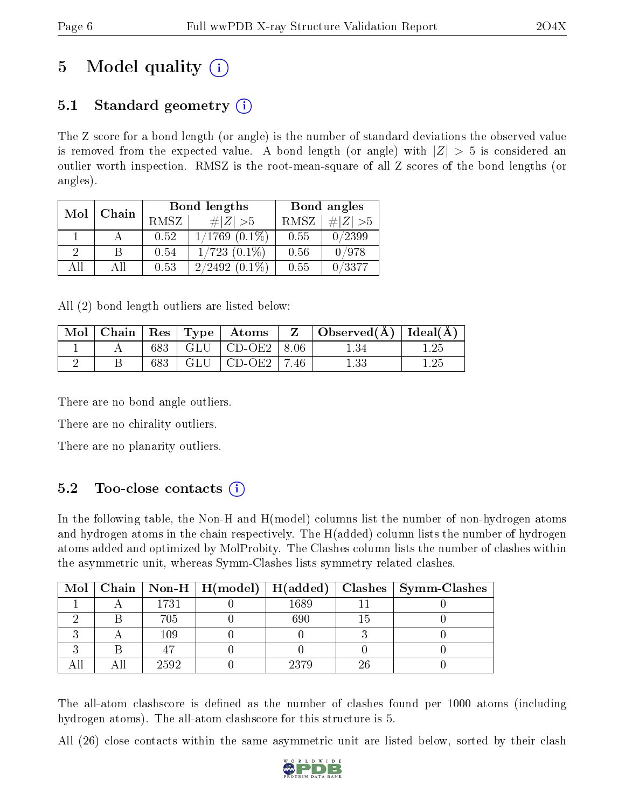## 5 Model quality  $(i)$

### 5.1 Standard geometry  $(i)$

The Z score for a bond length (or angle) is the number of standard deviations the observed value is removed from the expected value. A bond length (or angle) with  $|Z| > 5$  is considered an outlier worth inspection. RMSZ is the root-mean-square of all Z scores of the bond lengths (or angles).

| Mol | Chain |             | Bond lengths       | Bond angles |             |  |
|-----|-------|-------------|--------------------|-------------|-------------|--|
|     |       | <b>RMSZ</b> | $\# Z  > 5$        | <b>RMSZ</b> | $\ Z\  > 5$ |  |
|     |       | 0.52        | $1/1769$ $(0.1\%)$ | 0.55        | 0/2399      |  |
| 2   | B     | 0.54        | $1/723$ $(0.1\%)$  | 0.56        | 0/978       |  |
| AII | АH    | 0.53        | $2/2492(0.1\%)$    | 0.55        | 0/3377      |  |

All (2) bond length outliers are listed below:

|  |  |                           | $\perp \mathrm{Mol} \mid \mathrm{Chain} \mid \mathrm{Res} \mid \mathrm{Type} \mid \mathrm{\; Atoms} \; \mid \; \mathrm{Z} \; \; \mid \mathrm{Observed}(\mathrm{A}) \mid \mathrm{Ideal}(\mathrm{A}) \mid \mathrm{Area}(\mathrm{A}) \mid \mathrm{Area}(\mathrm{A})$ |      |
|--|--|---------------------------|-------------------------------------------------------------------------------------------------------------------------------------------------------------------------------------------------------------------------------------------------------------------|------|
|  |  | 683   GLU   CD-OE2   8.06 | 1.34                                                                                                                                                                                                                                                              |      |
|  |  | 683   GLU   CD-OE2   7.46 | $1.33\,$                                                                                                                                                                                                                                                          | 1.25 |

There are no bond angle outliers.

There are no chirality outliers.

There are no planarity outliers.

### 5.2 Too-close contacts  $(i)$

In the following table, the Non-H and H(model) columns list the number of non-hydrogen atoms and hydrogen atoms in the chain respectively. The H(added) column lists the number of hydrogen atoms added and optimized by MolProbity. The Clashes column lists the number of clashes within the asymmetric unit, whereas Symm-Clashes lists symmetry related clashes.

|  |      |      |    | Mol   Chain   Non-H   H(model)   H(added)   Clashes   Symm-Clashes |
|--|------|------|----|--------------------------------------------------------------------|
|  | 1731 | 1689 |    |                                                                    |
|  | 705  | 690  |    |                                                                    |
|  | 109  |      |    |                                                                    |
|  |      |      |    |                                                                    |
|  | 2592 | 2379 | 26 |                                                                    |

The all-atom clashscore is defined as the number of clashes found per 1000 atoms (including hydrogen atoms). The all-atom clashscore for this structure is 5.

All (26) close contacts within the same asymmetric unit are listed below, sorted by their clash

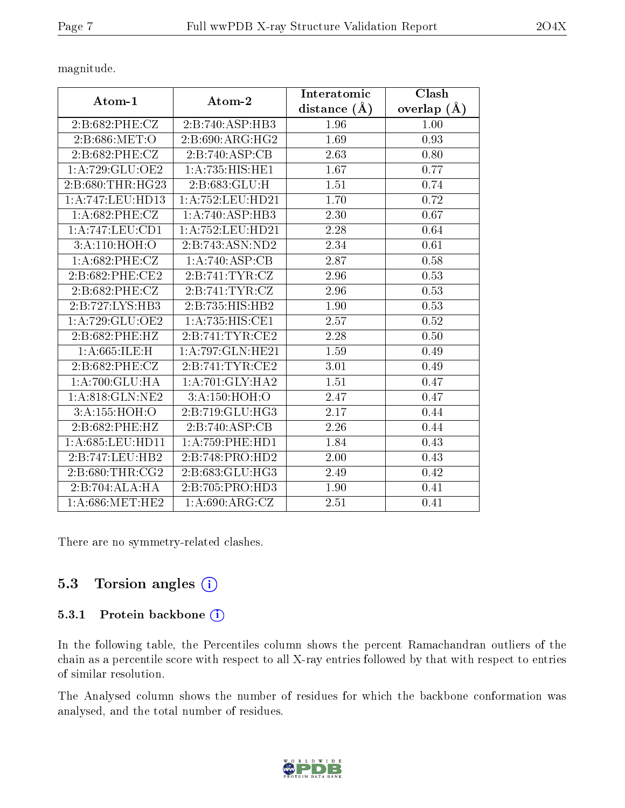magnitude.

|                    |                                              | Interatomic    | Clash           |  |
|--------------------|----------------------------------------------|----------------|-----------------|--|
| Atom-1             | Atom-2                                       | distance $(A)$ | overlap $(\AA)$ |  |
| 2:B:682:PHE:CZ     | 2:B:740:ASP:HB3                              | 1.96           | 1.00            |  |
| 2:B:686:MET:O      | 2: B:690:ARG:HG2                             | 1.69           | 0.93            |  |
| 2: B:682: PHE: CZ  | $2:B:740:\overline{ASP:CB}$                  | 2.63           | 0.80            |  |
| 1:A:729:GLU:OE2    | 1: A: 735: HIS: HE1                          | 1.67           | 0.77            |  |
| 2:B:680:THR:HG23   | 2:B:683:GLU:H                                | 1.51           | 0.74            |  |
| 1:A:747:LEU:HD13   | 1: A: 752: LEU: HD21                         | 1.70           | 0.72            |  |
| $1: A:682:$ PHE:CZ | 1:A:740:ASP:HB3                              | 2.30           | 0.67            |  |
| 1:A:747:LEU:CD1    | 1:A:752:LEU:HD21                             | 2.28           | 0.64            |  |
| 3: A:110:HOH:O     | 2:B:743:ASN:ND2                              | 2.34           | 0.61            |  |
| $1: A:682:$ PHE:CZ | 1:A:740:ASP:CB                               | 2.87           | 0.58            |  |
| 2:B:682:PHE:CE2    | $2: B:741: \overline{\text{TYR}: \text{CZ}}$ | 2.96           | 0.53            |  |
| 2:B:682:PHE:CZ     | 2:B:741:TYR:CZ                               | 2.96           | 0.53            |  |
| 2:B:727:LYS:HB3    | 2:B:735:HIS:HB2                              | 1.90           | 0.53            |  |
| 1:A:729:GLU:OE2    | 1:A:735:HIS:CE1                              | 2.57           | 0.52            |  |
| 2:B:682:PHE:HZ     | 2: B:741: TYR: CE2                           | 2.28           | 0.50            |  |
| 1: A:665: ILE:H    | 1: A:797: GLN: HE21                          | 1.59           | 0.49            |  |
| 2:B:682:PHE:CZ     | 2:B:741:TYR:CE2                              | 3.01           | 0.49            |  |
| 1: A:700: GLU:HA   | 1: A:701: GLY:HA2                            | 1.51           | 0.47            |  |
| 1: A:818: GLN: NE2 | 3:A:150:HOH:O                                | 2.47           | 0.47            |  |
| 3:A:155:HOH:O      | 2:B:719:GLU:HG3                              | 2.17           | 0.44            |  |
| 2:B:682:PHE:HZ     | 2:B:740:ASP:CB                               | 2.26           | 0.44            |  |
| 1: A:685:LEU:HD11  | 1: A: 759: PHE: HD1                          | 1.84           | 0.43            |  |
| 2:B:747:LEU:HB2    | 2:B:748:PRO:HD2                              | 2.00           | 0.43            |  |
| 2: B:680:THR:CG2   | 2:B:683:GLU:HG3                              | 2.49           | 0.42            |  |
| 2:B:704:ALA:HA     | 2:B:705:PRO:HD3                              | 1.90           | 0.41            |  |
| 1: A:686:MET:HE2   | 1: A:690: ARG: CZ                            | 2.51           | 0.41            |  |

There are no symmetry-related clashes.

### 5.3 Torsion angles  $(i)$

#### 5.3.1 Protein backbone (i)

In the following table, the Percentiles column shows the percent Ramachandran outliers of the chain as a percentile score with respect to all X-ray entries followed by that with respect to entries of similar resolution.

The Analysed column shows the number of residues for which the backbone conformation was analysed, and the total number of residues.

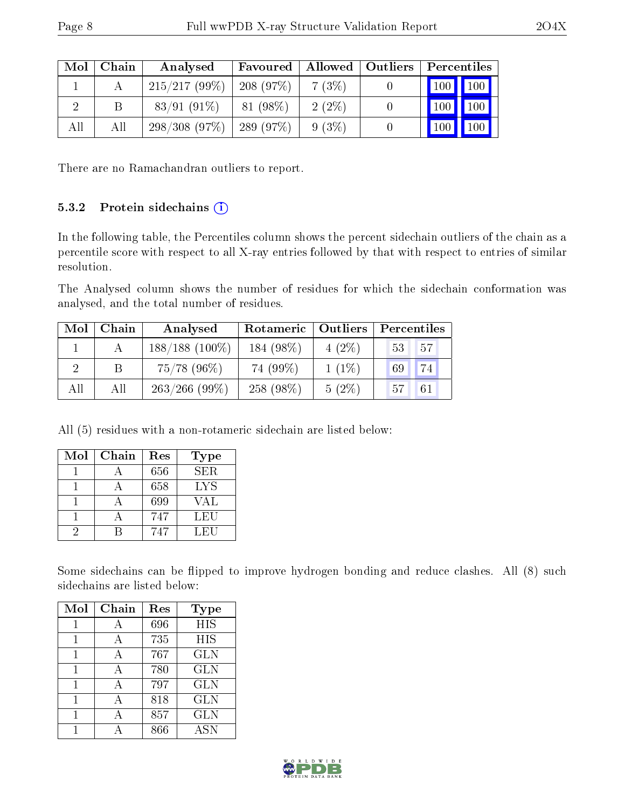| Mol | Chain | Analysed                      | Favoured    |          | Allowed   Outliers | Percentiles                    |
|-----|-------|-------------------------------|-------------|----------|--------------------|--------------------------------|
|     |       | 215/217(99%)                  | $-208(97%)$ | 7(3%)    |                    | $\mid$ 100 $\mid$ 100 $\mid$   |
|     | В     | $83/91(91\%)$                 | 81 (98%)    | $2(2\%)$ |                    | $100$   100                    |
| All | All   | $298/308$ (97\%)   289 (97\%) |             | $9(3\%)$ |                    | 100<br>$\vert 100 \vert \vert$ |

There are no Ramachandran outliers to report.

#### 5.3.2 Protein sidechains  $(i)$

In the following table, the Percentiles column shows the percent sidechain outliers of the chain as a percentile score with respect to all X-ray entries followed by that with respect to entries of similar resolution.

The Analysed column shows the number of residues for which the sidechain conformation was analysed, and the total number of residues.

| Mol | Chain | Analysed         | Rotameric   Outliers |          | Percentiles |  |
|-----|-------|------------------|----------------------|----------|-------------|--|
|     |       | $188/188(100\%)$ | 184 (98%)            | $4(2\%)$ | 57<br>53    |  |
|     | В     | $75/78$ (96%)    | 74 (99%)             | $1(1\%)$ | 74<br>69    |  |
| All | All   | $263/266$ (99\%) | 258 (98%)            | $5(2\%)$ | 61<br>"57.  |  |

All (5) residues with a non-rotameric sidechain are listed below:

| Mol | Chain | Res | <b>Type</b> |
|-----|-------|-----|-------------|
|     |       | 656 | SER.        |
|     |       | 658 | LYS         |
|     |       | 699 | VAL         |
|     |       | 747 | LEU         |
|     |       | 747 | LEU         |

Some sidechains can be flipped to improve hydrogen bonding and reduce clashes. All (8) such sidechains are listed below:

| Mol | Chain | Res | Type       |
|-----|-------|-----|------------|
|     | А     | 696 | <b>HIS</b> |
| 1   | A     | 735 | <b>HIS</b> |
|     | A     | 767 | <b>GLN</b> |
|     |       | 780 | <b>GLN</b> |
| 1   | A     | 797 | <b>GLN</b> |
|     | A     | 818 | <b>GLN</b> |
|     |       | 857 | <b>GLN</b> |
|     |       | 866 | <b>ASN</b> |

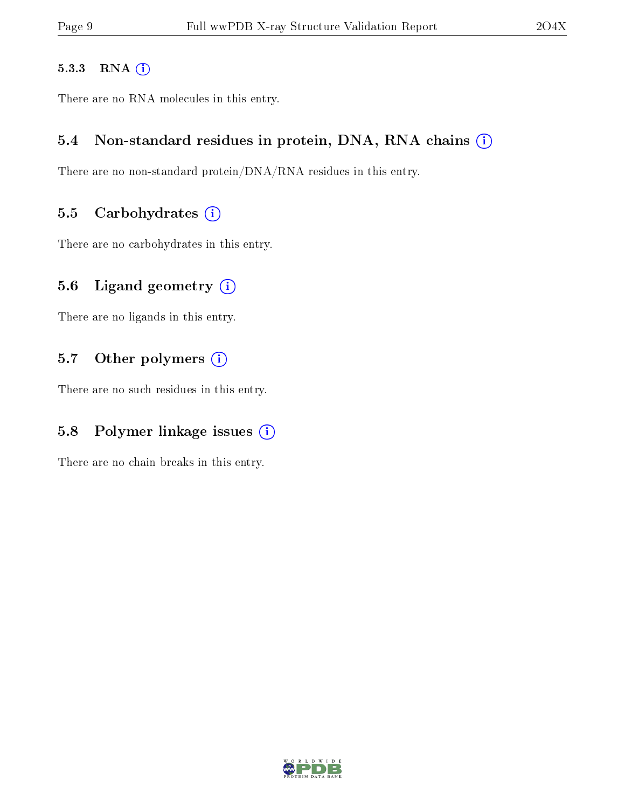#### 5.3.3 RNA [O](https://www.wwpdb.org/validation/2017/XrayValidationReportHelp#rna)i

There are no RNA molecules in this entry.

#### 5.4 Non-standard residues in protein, DNA, RNA chains (i)

There are no non-standard protein/DNA/RNA residues in this entry.

#### 5.5 Carbohydrates  $(i)$

There are no carbohydrates in this entry.

#### 5.6 Ligand geometry  $(i)$

There are no ligands in this entry.

#### 5.7 [O](https://www.wwpdb.org/validation/2017/XrayValidationReportHelp#nonstandard_residues_and_ligands)ther polymers (i)

There are no such residues in this entry.

#### 5.8 Polymer linkage issues  $(i)$

There are no chain breaks in this entry.